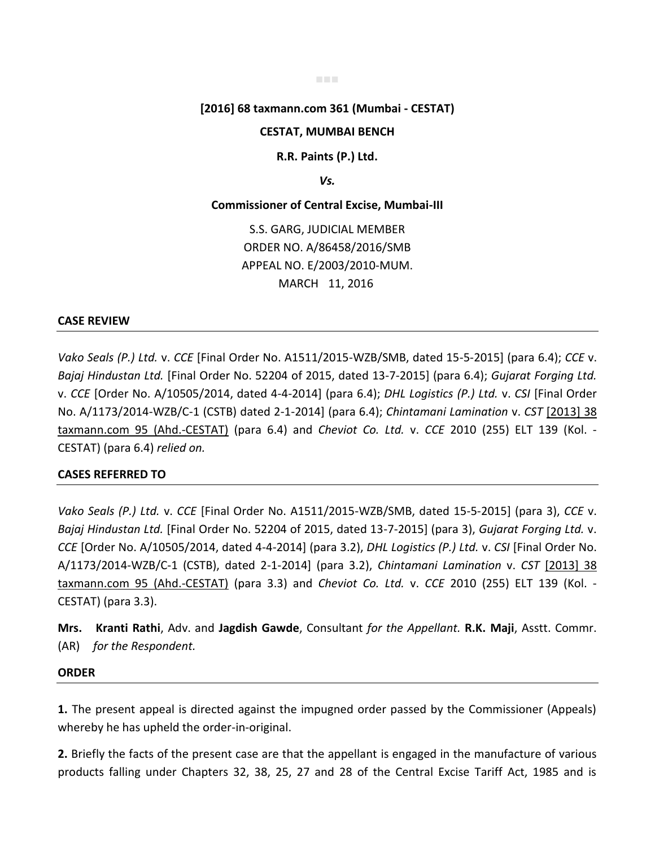#### ■■■

# **[2016] 68 taxmann.com 361 (Mumbai - CESTAT)**

# **CESTAT, MUMBAI BENCH**

**R.R. Paints (P.) Ltd.** 

*Vs.* 

### **Commissioner of Central Excise, Mumbai-III**

S.S. GARG, JUDICIAL MEMBER ORDER NO. A/86458/2016/SMB APPEAL NO. E/2003/2010-MUM. MARCH 11, 2016

# **CASE REVIEW**

*Vako Seals (P.) Ltd.* v. *CCE* [Final Order No. A1511/2015-WZB/SMB, dated 15-5-2015] (para 6.4); *CCE* v. *Bajaj Hindustan Ltd.* [Final Order No. 52204 of 2015, dated 13-7-2015] (para 6.4); *Gujarat Forging Ltd.* v. *CCE* [Order No. A/10505/2014, dated 4-4-2014] (para 6.4); *DHL Logistics (P.) Ltd.* v. *CSI* [Final Order No. A/1173/2014-WZB/C-1 (CSTB) dated 2-1-2014] (para 6.4); *Chintamani Lamination* v. *CST* [2013] 38 taxmann.com 95 (Ahd.-CESTAT) (para 6.4) and *Cheviot Co. Ltd.* v. *CCE* 2010 (255) ELT 139 (Kol. - CESTAT) (para 6.4) *relied on.*

### **CASES REFERRED TO**

*Vako Seals (P.) Ltd.* v. *CCE* [Final Order No. A1511/2015-WZB/SMB, dated 15-5-2015] (para 3), *CCE* v. *Bajaj Hindustan Ltd.* [Final Order No. 52204 of 2015, dated 13-7-2015] (para 3), *Gujarat Forging Ltd.* v. *CCE* [Order No. A/10505/2014, dated 4-4-2014] (para 3.2), *DHL Logistics (P.) Ltd.* v. *CSI* [Final Order No. A/1173/2014-WZB/C-1 (CSTB), dated 2-1-2014] (para 3.2), *Chintamani Lamination* v. *CST* [2013] 38 taxmann.com 95 (Ahd.-CESTAT) (para 3.3) and *Cheviot Co. Ltd.* v. *CCE* 2010 (255) ELT 139 (Kol. - CESTAT) (para 3.3).

**Mrs. Kranti Rathi**, Adv. and **Jagdish Gawde**, Consultant *for the Appellant.* **R.K. Maji**, Asstt. Commr. (AR) *for the Respondent.*

# **ORDER**

**1.** The present appeal is directed against the impugned order passed by the Commissioner (Appeals) whereby he has upheld the order-in-original.

**2.** Briefly the facts of the present case are that the appellant is engaged in the manufacture of various products falling under Chapters 32, 38, 25, 27 and 28 of the Central Excise Tariff Act, 1985 and is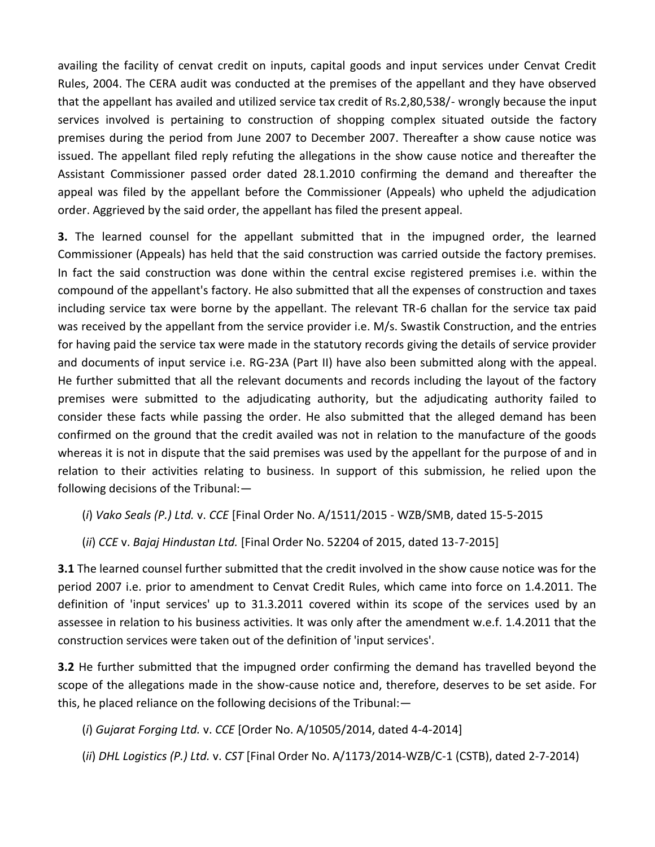availing the facility of cenvat credit on inputs, capital goods and input services under Cenvat Credit Rules, 2004. The CERA audit was conducted at the premises of the appellant and they have observed that the appellant has availed and utilized service tax credit of Rs.2,80,538/- wrongly because the input services involved is pertaining to construction of shopping complex situated outside the factory premises during the period from June 2007 to December 2007. Thereafter a show cause notice was issued. The appellant filed reply refuting the allegations in the show cause notice and thereafter the Assistant Commissioner passed order dated 28.1.2010 confirming the demand and thereafter the appeal was filed by the appellant before the Commissioner (Appeals) who upheld the adjudication order. Aggrieved by the said order, the appellant has filed the present appeal.

**3.** The learned counsel for the appellant submitted that in the impugned order, the learned Commissioner (Appeals) has held that the said construction was carried outside the factory premises. In fact the said construction was done within the central excise registered premises i.e. within the compound of the appellant's factory. He also submitted that all the expenses of construction and taxes including service tax were borne by the appellant. The relevant TR-6 challan for the service tax paid was received by the appellant from the service provider i.e. M/s. Swastik Construction, and the entries for having paid the service tax were made in the statutory records giving the details of service provider and documents of input service i.e. RG-23A (Part II) have also been submitted along with the appeal. He further submitted that all the relevant documents and records including the layout of the factory premises were submitted to the adjudicating authority, but the adjudicating authority failed to consider these facts while passing the order. He also submitted that the alleged demand has been confirmed on the ground that the credit availed was not in relation to the manufacture of the goods whereas it is not in dispute that the said premises was used by the appellant for the purpose of and in relation to their activities relating to business. In support of this submission, he relied upon the following decisions of the Tribunal:—

- (*i*) *Vako Seals (P.) Ltd.* v. *CCE* [Final Order No. A/1511/2015 WZB/SMB, dated 15-5-2015
- (*ii*) *CCE* v. *Bajaj Hindustan Ltd.* [Final Order No. 52204 of 2015, dated 13-7-2015]

**3.1** The learned counsel further submitted that the credit involved in the show cause notice was for the period 2007 i.e. prior to amendment to Cenvat Credit Rules, which came into force on 1.4.2011. The definition of 'input services' up to 31.3.2011 covered within its scope of the services used by an assessee in relation to his business activities. It was only after the amendment w.e.f. 1.4.2011 that the construction services were taken out of the definition of 'input services'.

**3.2** He further submitted that the impugned order confirming the demand has travelled beyond the scope of the allegations made in the show-cause notice and, therefore, deserves to be set aside. For this, he placed reliance on the following decisions of the Tribunal:—

- (*i*) *Gujarat Forging Ltd.* v. *CCE* [Order No. A/10505/2014, dated 4-4-2014]
- (*ii*) *DHL Logistics (P.) Ltd.* v. *CST* [Final Order No. A/1173/2014-WZB/C-1 (CSTB), dated 2-7-2014)